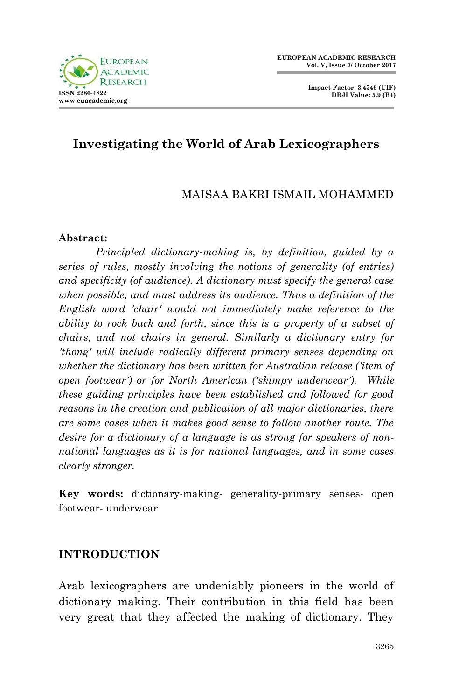

**Impact Factor: 3.4546 (UIF) DRJI Value: 5.9 (B+)**

# **Investigating the World of Arab Lexicographers**

#### MAISAA BAKRI ISMAIL MOHAMMED

#### **Abstract:**

*Principled dictionary-making is, by definition, guided by a series of rules, mostly involving the notions of generality (of entries) and specificity (of audience). A dictionary must specify the general case when possible, and must address its audience. Thus a definition of the English word 'chair' would not immediately make reference to the ability to rock back and forth, since this is a property of a subset of chairs, and not chairs in general. Similarly a dictionary entry for 'thong' will include radically different primary senses depending on whether the dictionary has been written for Australian release ('item of open footwear') or for North American ('skimpy underwear'). While these guiding principles have been established and followed for good reasons in the creation and publication of all major dictionaries, there are some cases when it makes good sense to follow another route. The desire for a dictionary of a language is as strong for speakers of nonnational languages as it is for national languages, and in some cases clearly stronger.*

**Key words:** dictionary-making- generality-primary senses- open footwear- underwear

#### **INTRODUCTION**

Arab lexicographers are undeniably pioneers in the world of dictionary making. Their contribution in this field has been very great that they affected the making of dictionary. They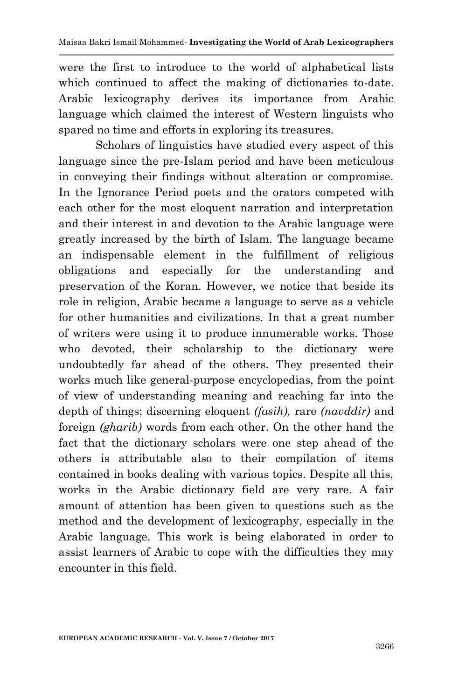were the first to introduce to the world of alphabetical lists which continued to affect the making of dictionaries to-date. Arabic lexicography derives its importance from Arabic language which claimed the interest of Western linguists who spared no time and efforts in exploring its treasures.

Scholars of linguistics have studied every aspect of this language since the pre-Islam period and have been meticulous in conveying their findings without alteration or compromise. In the Ignorance Period poets and the orators competed with each other for the most eloquent narration and interpretation and their interest in and devotion to the Arabic language were greatly increased by the birth of Islam. The language became an indispensable element in the fulfillment of religious obligations and especially for the understanding and preservation of the Koran. However, we notice that beside its role in religion, Arabic became a language to serve as a vehicle for other humanities and civilizations. In that a great number of writers were using it to produce innumerable works. Those who devoted, their scholarship to the dictionary were undoubtedly far ahead of the others. They presented their works much like general-purpose encyclopedias, from the point of view of understanding meaning and reaching far into the depth of things; discerning eloquent *(fasih),* rare *(navddir)* and foreign *(gharib)* words from each other. On the other hand the fact that the dictionary scholars were one step ahead of the others is attributable also to their compilation of items contained in books dealing with various topics. Despite all this, works in the Arabic dictionary field are very rare. A fair amount of attention has been given to questions such as the method and the development of lexicography, especially in the Arabic language. This work is being elaborated in order to assist learners of Arabic to cope with the difficulties they may encounter in this field.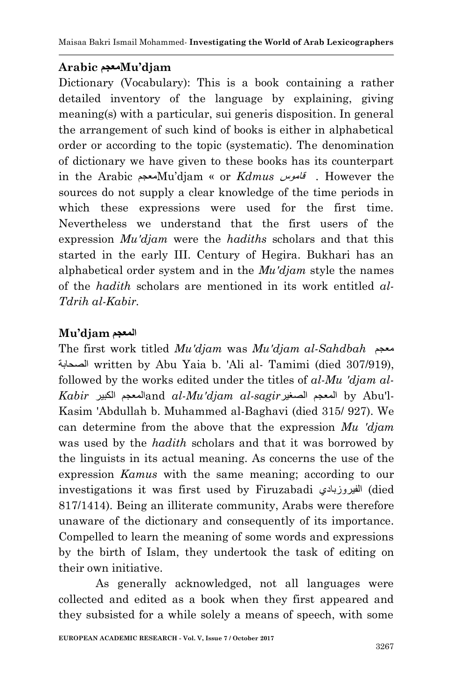# **Arabic معجمMu'djam**

Dictionary (Vocabulary): This is a book containing a rather detailed inventory of the language by explaining, giving meaning(s) with a particular, sui generis disposition. In general the arrangement of such kind of books is either in alphabetical order or according to the topic (systematic). The denomination of dictionary we have given to these books has its counterpart in the Arabic معجمMu'djam « or *Kdmus* قاموس *.* However the sources do not supply a clear knowledge of the time periods in which these expressions were used for the first time. Nevertheless we understand that the first users of the expression *Mu'djam* were the *hadiths* scholars and that this started in the early III. Century of Hegira. Bukhari has an alphabetical order system and in the *Mu'djam* style the names of the *hadith* scholars are mentioned in its work entitled *al-Tdrih al-Kabir.*

### **Mu'djam المعجم**

The first work titled *Mu'djam* was *Mu'djam al-Sahdbah* معجم انصحابة written by Abu Yaia b. 'Ali al- Tamimi (died 307/919), followed by the works edited under the titles of *al-Mu 'djam al-* $Kabir$  المعجم الصغير انم $\ln d$  *al-Mu'djam*  $al$ *-sagir* المعجم الكبير by Abu'l-Kasim 'Abdullah b. Muhammed al-Baghavi (died 315/ 927). We can determine from the above that the expression *Mu 'djam*  was used by the *hadith* scholars and that it was borrowed by the linguists in its actual meaning. As concerns the use of the expression *Kamus* with the same meaning; according to our investigations it was first used by Firuzabadi (الفيروزبادي died 817/1414). Being an illiterate community, Arabs were therefore unaware of the dictionary and consequently of its importance. Compelled to learn the meaning of some words and expressions by the birth of Islam, they undertook the task of editing on their own initiative.

As generally acknowledged, not all languages were collected and edited as a book when they first appeared and they subsisted for a while solely a means of speech, with some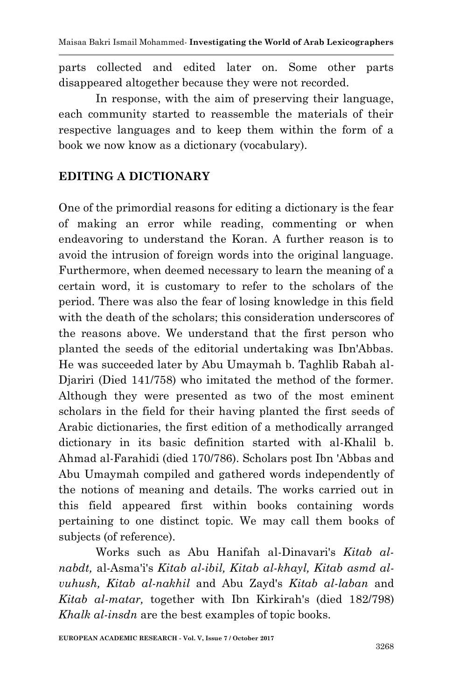parts collected and edited later on. Some other parts disappeared altogether because they were not recorded.

In response, with the aim of preserving their language, each community started to reassemble the materials of their respective languages and to keep them within the form of a book we now know as a dictionary (vocabulary).

### **EDITING A DICTIONARY**

One of the primordial reasons for editing a dictionary is the fear of making an error while reading, commenting or when endeavoring to understand the Koran. A further reason is to avoid the intrusion of foreign words into the original language. Furthermore, when deemed necessary to learn the meaning of a certain word, it is customary to refer to the scholars of the period. There was also the fear of losing knowledge in this field with the death of the scholars; this consideration underscores of the reasons above. We understand that the first person who planted the seeds of the editorial undertaking was Ibn'Abbas. He was succeeded later by Abu Umaymah b. Taghlib Rabah al-Djariri (Died 141/758) who imitated the method of the former. Although they were presented as two of the most eminent scholars in the field for their having planted the first seeds of Arabic dictionaries, the first edition of a methodically arranged dictionary in its basic definition started with al-Khalil b. Ahmad al-Farahidi (died 170/786). Scholars post Ibn 'Abbas and Abu Umaymah compiled and gathered words independently of the notions of meaning and details. The works carried out in this field appeared first within books containing words pertaining to one distinct topic. We may call them books of subjects (of reference).

Works such as Abu Hanifah al-Dinavari's *Kitab alnabdt,* al-Asma'i's *Kitab al-ibil, Kitab al-khayl, Kitab asmd alvuhush, Kitab al-nakhil* and Abu Zayd's *Kitab al-laban* and *Kitab al-matar,* together with Ibn Kirkirah's (died 182/798) *Khalk al-insdn* are the best examples of topic books.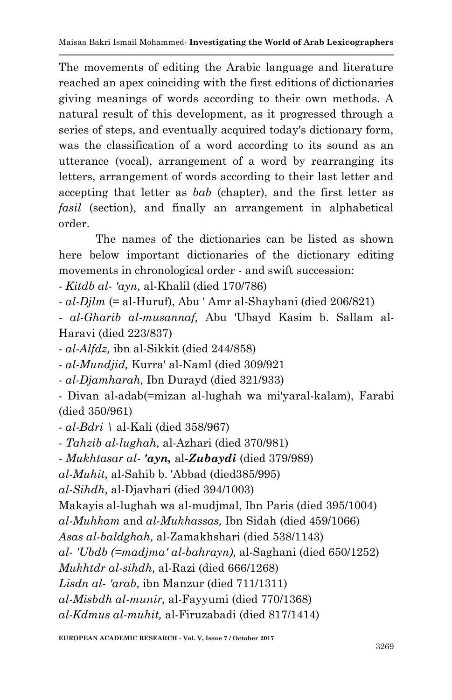The movements of editing the Arabic language and literature reached an apex coinciding with the first editions of dictionaries giving meanings of words according to their own methods. A natural result of this development, as it progressed through a series of steps, and eventually acquired today's dictionary form, was the classification of a word according to its sound as an utterance (vocal), arrangement of a word by rearranging its letters, arrangement of words according to their last letter and accepting that letter as *bab* (chapter), and the first letter as *fasil* (section), and finally an arrangement in alphabetical order.

The names of the dictionaries can be listed as shown here below important dictionaries of the dictionary editing movements in chronological order - and swift succession:

*- Kitdb al- 'ayn,* al-Khalil (died 170/786)

*- al-Djlm* (= al-Huruf), Abu ' Amr al-Shaybani (died 206/821)

*- al-Gharib al-musannaf,* Abu 'Ubayd Kasim b. Sallam al-Haravi (died 223/837)

*- al-Alfdz,* ibn al-Sikkit (died 244/858)

*- al-Mundjid,* Kurra' al-Naml (died 309/921

*- al-Djamharah,* Ibn Durayd (died 321/933)

- Divan al-adab(=mizan al-lughah wa mi'yaral-kalam), Farabi (died 350/961)

*- al-Bdri \* al-Kali (died 358/967)

*- Tahzib al-lughah,* al-Azhari (died 370/981)

*- Mukhtasar al- 'ayn,* al**-***Zubaydi* (died 379/989)

*al-Muhit,* al-Sahib b. 'Abbad (died385/995)

*al-Sihdh,* al-Djavhari (died 394/1003)

Makayis al-lughah wa al-mudjmal, Ibn Paris (died 395/1004)

*al-Muhkam* and *al-Mukhassas,* Ibn Sidah (died 459/1066)

*Asas al-baldghah,* al-Zamakhshari (died 538/1143)

*al- 'Ubdb (=madjma' al-bahrayn),* al-Saghani (died 650/1252)

*Mukhtdr al-sihdh,* al-Razi (died 666/1268)

*Lisdn al- 'arab,* ibn Manzur (died 711/1311)

*al-Misbdh al-munir,* al-Fayyumi (died 770/1368)

*al-Kdmus al-muhit,* al-Firuzabadi (died 817/1414)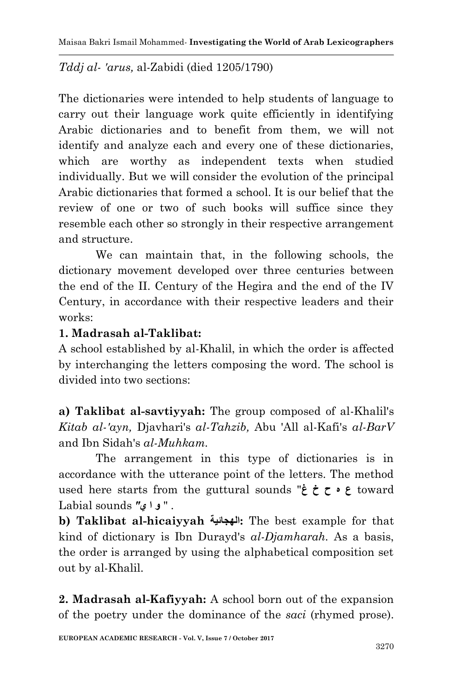### *Tddj al- 'arus,* al-Zabidi (died 1205/1790)

The dictionaries were intended to help students of language to carry out their language work quite efficiently in identifying Arabic dictionaries and to benefit from them, we will not identify and analyze each and every one of these dictionaries, which are worthy as independent texts when studied individually. But we will consider the evolution of the principal Arabic dictionaries that formed a school. It is our belief that the review of one or two of such books will suffice since they resemble each other so strongly in their respective arrangement and structure.

We can maintain that, in the following schools, the dictionary movement developed over three centuries between the end of the II. Century of the Hegira and the end of the IV Century, in accordance with their respective leaders and their works:

### **1. Madrasah al-Taklibat:**

A school established by al-Khalil, in which the order is affected by interchanging the letters composing the word. The school is divided into two sections:

**a) Taklibat al-savtiyyah:** The group composed of al-Khalil's *Kitab al-'ayn,* Djavhari's *al-Tahzib,* Abu 'All al-Kafi's *al-BarV*  and Ibn Sidah's *al-Muhkam.*

The arrangement in this type of dictionaries is in accordance with the utterance point of the letters. The method used here starts from the guttural sounds "**غ خ ح ه ع** toward . " و ا ي<sup>"</sup> Labial sounds

**b) Taklibat al-hicaiyyah الهجائية:** The best example for that kind of dictionary is Ibn Durayd's *al-Djamharah.* As a basis, the order is arranged by using the alphabetical composition set out by al-Khalil.

**2. Madrasah al-Kafiyyah:** A school born out of the expansion of the poetry under the dominance of the *saci* (rhymed prose).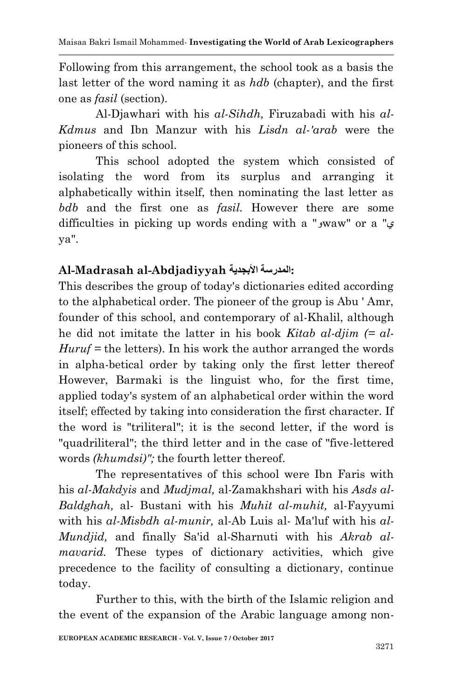Following from this arrangement, the school took as a basis the last letter of the word naming it as *hdb* (chapter), and the first one as *fasil* (section).

Al-Djawhari with his *al-Sihdh,* Firuzabadi with his *al-Kdmus* and Ibn Manzur with his *Lisdn al-'arab* were the pioneers of this school.

This school adopted the system which consisted of isolating the word from its surplus and arranging it alphabetically within itself, then nominating the last letter as *bdb* and the first one as *fasil.* However there are some difficulties in picking up words ending with a "وwaw" or a " ya".

# **Al-Madrasah al-Abdjadiyyah األبجدية المدرسة:**

This describes the group of today's dictionaries edited according to the alphabetical order. The pioneer of the group is Abu ' Amr, founder of this school, and contemporary of al-Khalil, although he did not imitate the latter in his book *Kitab al-djim (= al-Huruf =* the letters). In his work the author arranged the words in alpha-betical order by taking only the first letter thereof However, Barmaki is the linguist who, for the first time, applied today's system of an alphabetical order within the word itself; effected by taking into consideration the first character. If the word is "triliteral"; it is the second letter, if the word is "quadriliteral"; the third letter and in the case of "five-lettered words *(khumdsi)";* the fourth letter thereof.

The representatives of this school were Ibn Faris with his *al-Makdyis* and *Mudjmal,* al-Zamakhshari with his *Asds al-Baldghah,* al- Bustani with his *Muhit al-muhit,* al-Fayyumi with his *al-Misbdh al-munir,* al-Ab Luis al- Ma'luf with his *al-Mundjid,* and finally Sa'id al-Sharnuti with his *Akrab almavarid.* These types of dictionary activities, which give precedence to the facility of consulting a dictionary, continue today.

Further to this, with the birth of the Islamic religion and the event of the expansion of the Arabic language among non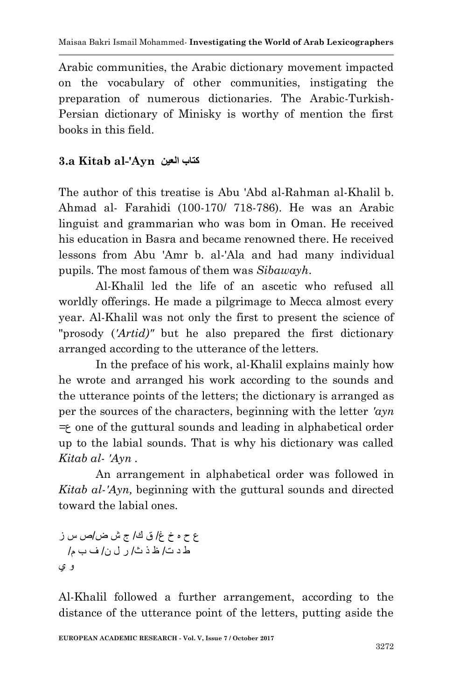Arabic communities, the Arabic dictionary movement impacted on the vocabulary of other communities, instigating the preparation of numerous dictionaries. The Arabic-Turkish-Persian dictionary of Minisky is worthy of mention the first books in this field.

## **3.a Kitab al-'Ayn العين كتاب**

The author of this treatise is Abu 'Abd al-Rahman al-Khalil b. Ahmad al- Farahidi (100-170/ 718-786). He was an Arabic linguist and grammarian who was bom in Oman. He received his education in Basra and became renowned there. He received lessons from Abu 'Amr b. al-'Ala and had many individual pupils. The most famous of them was *Sibawayh*.

Al-Khalil led the life of an ascetic who refused all worldly offerings. He made a pilgrimage to Mecca almost every year. Al-Khalil was not only the first to present the science of "prosody (*'Artid)"* but he also prepared the first dictionary arranged according to the utterance of the letters.

In the preface of his work, al-Khalil explains mainly how he wrote and arranged his work according to the sounds and the utterance points of the letters; the dictionary is arranged as per the sources of the characters, beginning with the letter *'ayn =*ع one of the guttural sounds and leading in alphabetical order up to the labial sounds. That is why his dictionary was called *Kitab al- 'Ayn .*

An arrangement in alphabetical order was followed in *Kitab al-'Ayn,* beginning with the guttural sounds and directed toward the labial ones.

ع ح ه خ غ/ ق ك/ ج ش ض/ص س ز ط د ت/ ظ ذ ث/ ر ل ن/ ف ب م/ و ي

Al-Khalil followed a further arrangement, according to the distance of the utterance point of the letters, putting aside the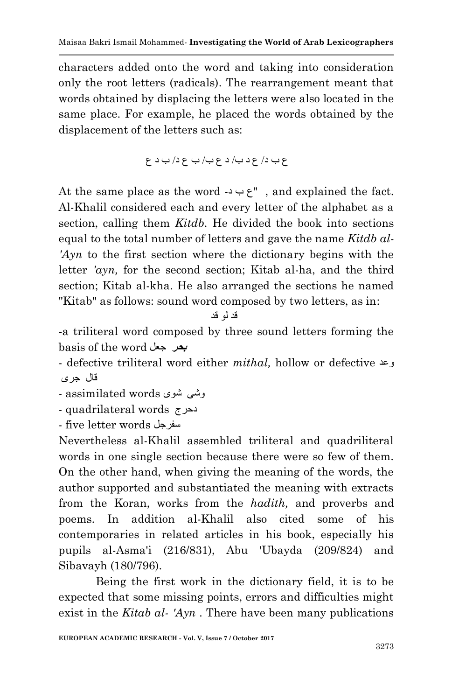characters added onto the word and taking into consideration only the root letters (radicals). The rearrangement meant that words obtained by displacing the letters were also located in the same place. For example, he placed the words obtained by the displacement of the letters such as:

ع ب د/ ع د ب/ د ع ب/ ب ع د/ ب د ع

At the same place as the word -د ب ع ", and explained the fact. Al-Khalil considered each and every letter of the alphabet as a section, calling them *Kitdb*. He divided the book into sections equal to the total number of letters and gave the name *Kitdb al- 'Ayn* to the first section where the dictionary begins with the letter *'ayn,* for the second section; Kitab al-ha, and the third section; Kitab al-kha. He also arranged the sections he named "Kitab" as follows: sound word composed by two letters, as in:

قد نو قد

-a triliteral word composed by three sound letters forming the basis of the word جعم **بحر**

- defective triliteral word either *mithal,* hollow or defective وعد قال جرى

وشي شوى words assimilated -

- quadrilateral words دحرج

- five letter words سفرجم

Nevertheless al-Khalil assembled triliteral and quadriliteral words in one single section because there were so few of them. On the other hand, when giving the meaning of the words, the author supported and substantiated the meaning with extracts from the Koran, works from the *hadith,* and proverbs and poems. In addition al-Khalil also cited some of his contemporaries in related articles in his book, especially his pupils al-Asma'i (216/831), Abu 'Ubayda (209/824) and Sibavayh (180/796).

Being the first work in the dictionary field, it is to be expected that some missing points, errors and difficulties might exist in the *Kitab al- 'Ayn .* There have been many publications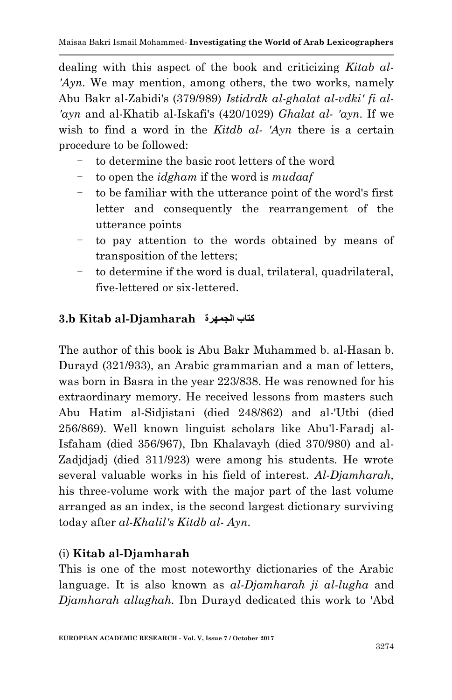dealing with this aspect of the book and criticizing *Kitab al- 'Ayn.* We may mention, among others, the two works, namely Abu Bakr al-Zabidi's (379/989) *Istidrdk al-ghalat al-vdki' fi al- 'ayn* and al-Khatib al-Iskafi's (420/1029) *Ghalat al- 'ayn.* If we wish to find a word in the *Kitdb al- 'Ayn* there is a certain procedure to be followed:

- to determine the basic root letters of the word
- to open the *idgham* if the word is *mudaaf*
- to be familiar with the utterance point of the word's first letter and consequently the rearrangement of the utterance points
- to pay attention to the words obtained by means of transposition of the letters;
- to determine if the word is dual, trilateral, quadrilateral, five-lettered or six-lettered.

# **3.b Kitab al-Djamharah الجمهرة كتاب**

The author of this book is Abu Bakr Muhammed b. al-Hasan b. Durayd (321/933), an Arabic grammarian and a man of letters, was born in Basra in the year 223/838. He was renowned for his extraordinary memory. He received lessons from masters such Abu Hatim al-Sidjistani (died 248/862) and al-'Utbi (died 256/869). Well known linguist scholars like Abu'l-Faradj al-Isfaham (died 356/967), Ibn Khalavayh (died 370/980) and al-Zadjdjadj (died 311/923) were among his students. He wrote several valuable works in his field of interest. *Al-Djamharah,*  his three-volume work with the major part of the last volume arranged as an index, is the second largest dictionary surviving today after *al-Khalil's Kitdb al- Ayn.*

# (i) **Kitab al-Djamharah**

This is one of the most noteworthy dictionaries of the Arabic language. It is also known as *al-Djamharah ji al-lugha* and *Djamharah allughah.* Ibn Durayd dedicated this work to 'Abd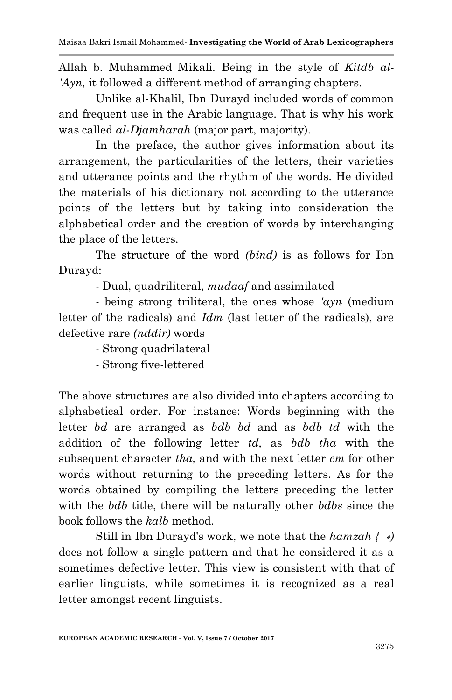Allah b. Muhammed Mikali. Being in the style of *Kitdb al- 'Ayn,* it followed a different method of arranging chapters.

Unlike al-Khalil, Ibn Durayd included words of common and frequent use in the Arabic language. That is why his work was called *al-Djamharah* (major part, majority).

In the preface, the author gives information about its arrangement, the particularities of the letters, their varieties and utterance points and the rhythm of the words. He divided the materials of his dictionary not according to the utterance points of the letters but by taking into consideration the alphabetical order and the creation of words by interchanging the place of the letters.

The structure of the word *(bind)* is as follows for Ibn Durayd:

- Dual, quadriliteral, *mudaaf* and assimilated

- being strong triliteral, the ones whose *'ayn* (medium letter of the radicals) and *Idm* (last letter of the radicals), are defective rare *(nddir)* words

- Strong quadrilateral

- Strong five-lettered

The above structures are also divided into chapters according to alphabetical order. For instance: Words beginning with the letter *bd* are arranged as *bdb bd* and as *bdb td* with the addition of the following letter *td,* as *bdb tha* with the subsequent character *tha,* and with the next letter *cm* for other words without returning to the preceding letters. As for the words obtained by compiling the letters preceding the letter with the *bdb* title, there will be naturally other *bdbs* since the book follows the *kalb* method.

Still in Ibn Durayd's work, we note that the *hamzah*  $\langle \cdot, \cdot \rangle$ does not follow a single pattern and that he considered it as a sometimes defective letter. This view is consistent with that of earlier linguists, while sometimes it is recognized as a real letter amongst recent linguists.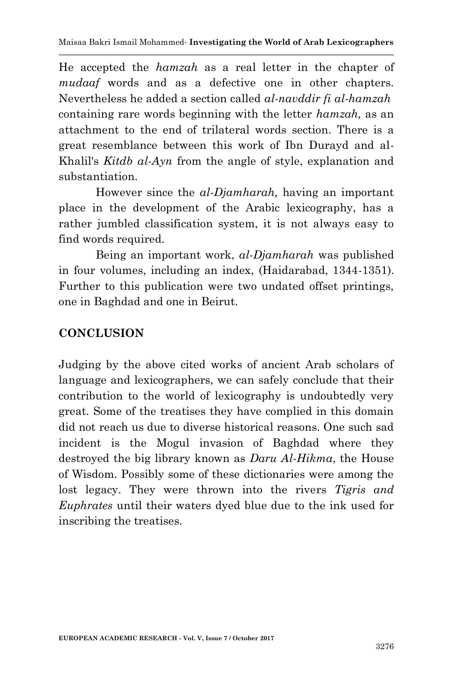He accepted the *hamzah* as a real letter in the chapter of *mudaaf* words and as a defective one in other chapters. Nevertheless he added a section called *al-navddir fi al-hamzah* containing rare words beginning with the letter *hamzah,* as an attachment to the end of trilateral words section. There is a great resemblance between this work of Ibn Durayd and al-Khalil's *Kitdb al-Ayn* from the angle of style, explanation and substantiation.

However since the *al-Djamharah,* having an important place in the development of the Arabic lexicography, has a rather jumbled classification system, it is not always easy to find words required.

Being an important work, *al-Djamharah* was published in four volumes, including an index, (Haidarabad, 1344-1351). Further to this publication were two undated offset printings, one in Baghdad and one in Beirut.

### **CONCLUSION**

Judging by the above cited works of ancient Arab scholars of language and lexicographers, we can safely conclude that their contribution to the world of lexicography is undoubtedly very great. Some of the treatises they have complied in this domain did not reach us due to diverse historical reasons. One such sad incident is the Mogul invasion of Baghdad where they destroyed the big library known as *Daru Al-Hikma*, the House of Wisdom. Possibly some of these dictionaries were among the lost legacy. They were thrown into the rivers *Tigris and Euphrates* until their waters dyed blue due to the ink used for inscribing the treatises.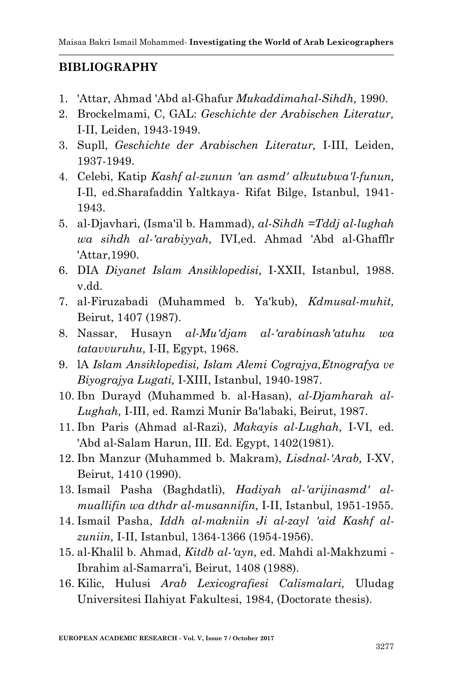#### **BIBLIOGRAPHY**

- 1. 'Attar, Ahmad 'Abd al-Ghafur *Mukaddimahal-Sihdh,* 1990.
- 2. Brockelmami, C, GAL: *Geschichte der Arabischen Literatur,*  I-II, Leiden, 1943-1949.
- 3. Supll, *Geschichte der Arabischen Literatur,* I-III, Leiden, 1937-1949.
- 4. Celebi, Katip *Kashf al-zunun 'an asmd' alkutubwa'l-funun,*  I-Il, ed.Sharafaddin Yaltkaya- Rifat Bilge, Istanbul, 1941- 1943.
- 5. al-Djavhari, (Isma'il b. Hammad), *al-Sihdh =Tddj al-lughah wa sihdh al-'arabiyyah,* IVI,ed. Ahmad 'Abd al-Ghafflr 'Attar,1990.
- 6. DIA *Diyanet Islam Ansiklopedisi,* I-XXII, Istanbul, 1988. v.dd.
- 7. al-Firuzabadi (Muhammed b. Ya'kub), *Kdmusal-muhit,*  Beirut, 1407 (1987).
- 8. Nassar, Husayn *al-Mu'djam al-'arabinash'atuhu wa tatavvuruhu,* I-II, Egypt, 1968.
- 9. lA *Islam Ansiklopedisi, Islam Alemi Cograjya,Etnografya ve Biyograjya Lugati,* I-XIII, Istanbul, 1940-1987.
- 10. Ibn Durayd (Muhammed b. al-Hasan), *al-Djamharah al-Lughah,* I-III, ed. Ramzi Munir Ba'labaki, Beirut, 1987.
- 11. Ibn Paris (Ahmad al-Razi), *Makayis al-Lughah,* I-VI, ed. 'Abd al-Salam Harun, III. Ed. Egypt, 1402(1981).
- 12. Ibn Manzur (Muhammed b. Makram), *Lisdnal-'Arab,* I-XV, Beirut, 1410 (1990).
- 13. Ismail Pasha (Baghdatli), *Hadiyah al-'arijinasmd' almuallifin wa dthdr al-musannifin,* I-II, Istanbul, 1951-1955.
- 14. Ismail Pasha, *Iddh al-makniin Ji al-zayl 'aid Kashf alzuniin,* I-II, Istanbul, 1364-1366 (1954-1956).
- 15. al-Khalil b. Ahmad, *Kitdb al-'ayn,* ed. Mahdi al-Makhzumi Ibrahim al-Samarra'i, Beirut, 1408 (1988).
- 16. Kilic, Hulusi *Arab Lexicografiesi Calismalari,* Uludag Universitesi Ilahiyat Fakultesi, 1984, (Doctorate thesis).